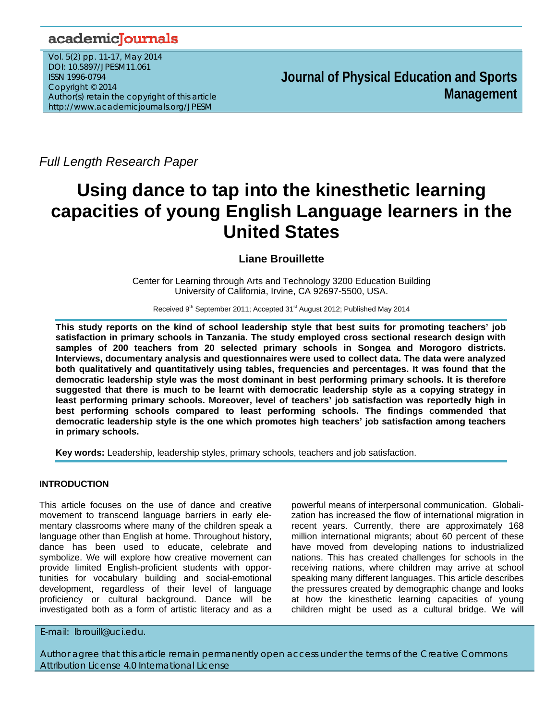## academicJournals

Vol. 5(2) pp. 11-17, May 2014 DOI: 10.5897/JPESM11.061 ISSN 1996-0794 Copyright © 2014 Author(s) retain the copyright of this article http://www.academicjournals.org/JPESM

**Journal of Physical Education and Sports Management**

*Full Length Research Paper*

# **Using dance to tap into the kinesthetic learning capacities of young English Language learners in the United States**

### **Liane Brouillette**

Center for Learning through Arts and Technology 3200 Education Building University of California, Irvine, CA 92697-5500, USA.

Received 9<sup>th</sup> September 2011; Accepted 31<sup>st</sup> August 2012; Published May 2014

**This study reports on the kind of school leadership style that best suits for promoting teachers' job satisfaction in primary schools in Tanzania. The study employed cross sectional research design with samples of 200 teachers from 20 selected primary schools in Songea and Morogoro districts. Interviews, documentary analysis and questionnaires were used to collect data. The data were analyzed both qualitatively and quantitatively using tables, frequencies and percentages. It was found that the democratic leadership style was the most dominant in best performing primary schools. It is therefore suggested that there is much to be learnt with democratic leadership style as a copying strategy in least performing primary schools. Moreover, level of teachers' job satisfaction was reportedly high in best performing schools compared to least performing schools. The findings commended that democratic leadership style is the one which promotes high teachers' job satisfaction among teachers in primary schools.** 

**Key words:** Leadership, leadership styles, primary schools, teachers and job satisfaction.

#### **INTRODUCTION**

This article focuses on the use of dance and creative movement to transcend language barriers in early elementary classrooms where many of the children speak a language other than English at home. Throughout history, dance has been used to educate, celebrate and symbolize. We will explore how creative movement can provide limited English-proficient students with opportunities for vocabulary building and social-emotional development, regardless of their level of language proficiency or cultural background. Dance will be investigated both as a form of artistic literacy and as a

powerful means of interpersonal communication.Globalization has increased the flow of international migration in recent years. Currently, there are approximately 168 million international migrants; about 60 percent of these have moved from developing nations to industrialized nations. This has created challenges for schools in the receiving nations, where children may arrive at school speaking many different languages. This article describes the pressures created by demographic change and looks at how the kinesthetic learning capacities of young children might be used as a cultural bridge. We will

E-mail: lbrouill@uci.edu.

Author agree that this article remain permanently open access under the terms of the Creative Commons Attribution License 4.0 International License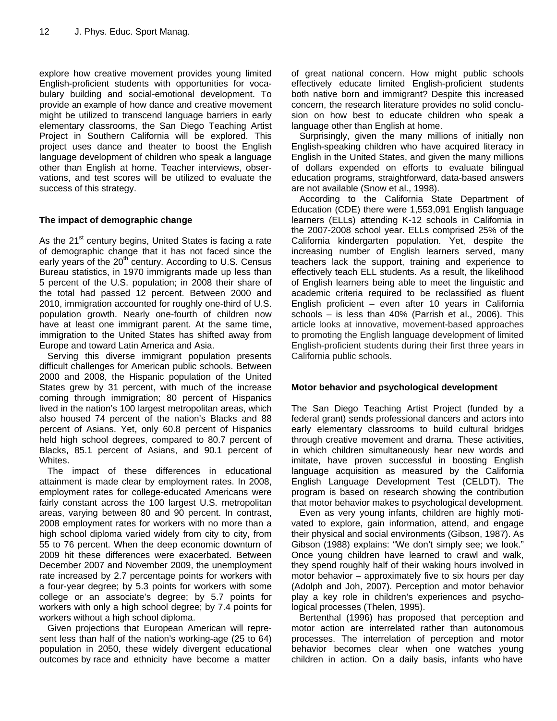explore how creative movement provides young limited English-proficient students with opportunities for vocabulary building and social-emotional development. To provide an example of how dance and creative movement might be utilized to transcend language barriers in early elementary classrooms, the San Diego Teaching Artist Project in Southern California will be explored. This project uses dance and theater to boost the English language development of children who speak a language other than English at home. Teacher interviews, observations, and test scores will be utilized to evaluate the success of this strategy.

#### **The impact of demographic change**

As the  $21<sup>st</sup>$  century begins, United States is facing a rate of demographic change that it has not faced since the early years of the  $20<sup>th</sup>$  century. According to U.S. Census Bureau statistics, in 1970 immigrants made up less than 5 percent of the U.S. population; in 2008 their share of the total had passed 12 percent. Between 2000 and 2010, immigration accounted for roughly one-third of U.S. population growth. Nearly one-fourth of children now have at least one immigrant parent. At the same time, immigration to the United States has shifted away from Europe and toward Latin America and Asia.

Serving this diverse immigrant population presents difficult challenges for American public schools. Between 2000 and 2008, the Hispanic population of the United States grew by 31 percent, with much of the increase coming through immigration; 80 percent of Hispanics lived in the nation's 100 largest metropolitan areas, which also housed 74 percent of the nation's Blacks and 88 percent of Asians. Yet, only 60.8 percent of Hispanics held high school degrees, compared to 80.7 percent of Blacks, 85.1 percent of Asians, and 90.1 percent of Whites.

The impact of these differences in educational attainment is made clear by employment rates. In 2008, employment rates for college-educated Americans were fairly constant across the 100 largest U.S. metropolitan areas, varying between 80 and 90 percent. In contrast, 2008 employment rates for workers with no more than a high school diploma varied widely from city to city, from 55 to 76 percent. When the deep economic downturn of 2009 hit these differences were exacerbated. Between December 2007 and November 2009, the unemployment rate increased by 2.7 percentage points for workers with a four-year degree; by 5.3 points for workers with some college or an associate's degree; by 5.7 points for workers with only a high school degree; by 7.4 points for workers without a high school diploma.

Given projections that European American will represent less than half of the nation's working-age (25 to 64) population in 2050, these widely divergent educational outcomes by race and ethnicity have become a matter

of great national concern. How might public schools effectively educate limited English-proficient students both native born and immigrant? Despite this increased concern, the research literature provides no solid conclusion on how best to educate children who speak a language other than English at home.

Surprisingly, given the many millions of initially non English-speaking children who have acquired literacy in English in the United States, and given the many millions of dollars expended on efforts to evaluate bilingual education programs, straightforward, data-based answers are not available (Snow et al., 1998).

According to the California State Department of Education (CDE) there were 1,553,091 English language learners (ELLs) attending K-12 schools in California in the 2007-2008 school year. ELLs comprised 25% of the California kindergarten population. Yet, despite the increasing number of English learners served, many teachers lack the support, training and experience to effectively teach ELL students. As a result, the likelihood of English learners being able to meet the linguistic and academic criteria required to be reclassified as fluent English proficient – even after 10 years in California schools – is less than 40% (Parrish et al., 2006). This article looks at innovative, movement-based approaches to promoting the English language development of limited English-proficient students during their first three years in California public schools.

#### **Motor behavior and psychological development**

The San Diego Teaching Artist Project (funded by a federal grant) sends professional dancers and actors into early elementary classrooms to build cultural bridges through creative movement and drama. These activities, in which children simultaneously hear new words and imitate, have proven successful in boosting English language acquisition as measured by the California English Language Development Test (CELDT). The program is based on research showing the contribution that motor behavior makes to psychological development.

Even as very young infants, children are highly motivated to explore, gain information, attend, and engage their physical and social environments (Gibson, 1987). As Gibson (1988) explains: "We don't simply see; we look." Once young children have learned to crawl and walk, they spend roughly half of their waking hours involved in motor behavior – approximately five to six hours per day (Adolph and Joh, 2007). Perception and motor behavior play a key role in children's experiences and psychological processes (Thelen, 1995).

Bertenthal (1996) has proposed that perception and motor action are interrelated rather than autonomous processes. The interrelation of perception and motor behavior becomes clear when one watches young children in action. On a daily basis, infants who have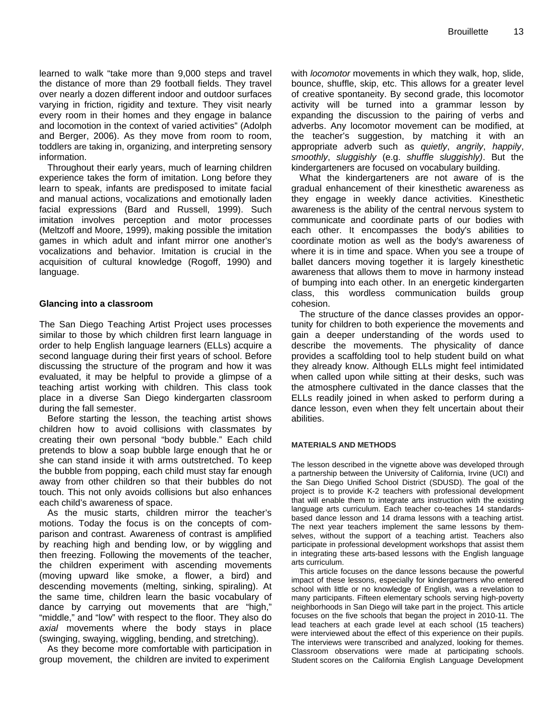learned to walk "take more than 9,000 steps and travel the distance of more than 29 football fields. They travel over nearly a dozen different indoor and outdoor surfaces varying in friction, rigidity and texture. They visit nearly every room in their homes and they engage in balance and locomotion in the context of varied activities" (Adolph and Berger, 2006). As they move from room to room, toddlers are taking in, organizing, and interpreting sensory information.

Throughout their early years, much of learning children experience takes the form of imitation. Long before they learn to speak, infants are predisposed to imitate facial and manual actions, vocalizations and emotionally laden facial expressions (Bard and Russell, 1999). Such imitation involves perception and motor processes (Meltzoff and Moore, 1999), making possible the imitation games in which adult and infant mirror one another's vocalizations and behavior. Imitation is crucial in the acquisition of cultural knowledge (Rogoff, 1990) and language.

#### **Glancing into a classroom**

The San Diego Teaching Artist Project uses processes similar to those by which children first learn language in order to help English language learners (ELLs) acquire a second language during their first years of school. Before discussing the structure of the program and how it was evaluated, it may be helpful to provide a glimpse of a teaching artist working with children. This class took place in a diverse San Diego kindergarten classroom during the fall semester.

Before starting the lesson, the teaching artist shows children how to avoid collisions with classmates by creating their own personal "body bubble." Each child pretends to blow a soap bubble large enough that he or she can stand inside it with arms outstretched. To keep the bubble from popping, each child must stay far enough away from other children so that their bubbles do not touch. This not only avoids collisions but also enhances each child's awareness of space.

As the music starts, children mirror the teacher's motions. Today the focus is on the concepts of comparison and contrast. Awareness of contrast is amplified by reaching high and bending low, or by wiggling and then freezing. Following the movements of the teacher, the children experiment with ascending movements (moving upward like smoke, a flower, a bird) and descending movements (melting, sinking, spiraling). At the same time, children learn the basic vocabulary of dance by carrying out movements that are "high," "middle," and "low" with respect to the floor. They also do *axial* movements where the body stays in place (swinging, swaying, wiggling, bending, and stretching).

As they become more comfortable with participation in group movement, the children are invited to experiment

with *locomotor* movements in which they walk, hop, slide, bounce, shuffle, skip, etc. This allows for a greater level of creative spontaneity. By second grade, this locomotor activity will be turned into a grammar lesson by expanding the discussion to the pairing of verbs and adverbs. Any locomotor movement can be modified, at the teacher's suggestion, by matching it with an appropriate adverb such as *quietly*, *angrily*, *happily*, *smoothly*, *sluggishly* (e.g. *shuffle sluggishly)*. But the kindergarteners are focused on vocabulary building.

What the kindergarteners are not aware of is the gradual enhancement of their kinesthetic awareness as they engage in weekly dance activities. Kinesthetic awareness is the ability of the central nervous system to communicate and coordinate parts of our bodies with each other. It encompasses the body's abilities to coordinate motion as well as the body's awareness of where it is in time and space. When you see a troupe of ballet dancers moving together it is largely kinesthetic awareness that allows them to move in harmony instead of bumping into each other. In an energetic kindergarten class, this wordless communication builds group cohesion.

The structure of the dance classes provides an opportunity for children to both experience the movements and gain a deeper understanding of the words used to describe the movements. The physicality of dance provides a scaffolding tool to help student build on what they already know. Although ELLs might feel intimidated when called upon while sitting at their desks, such was the atmosphere cultivated in the dance classes that the ELLs readily joined in when asked to perform during a dance lesson, even when they felt uncertain about their abilities.

#### **MATERIALS AND METHODS**

The lesson described in the vignette above was developed through a partnership between the University of California, Irvine (UCI) and the San Diego Unified School District (SDUSD). The goal of the project is to provide K-2 teachers with professional development that will enable them to integrate arts instruction with the existing language arts curriculum. Each teacher co-teaches 14 standardsbased dance lesson and 14 drama lessons with a teaching artist. The next year teachers implement the same lessons by themselves, without the support of a teaching artist. Teachers also participate in professional development workshops that assist them in integrating these arts-based lessons with the English language arts curriculum.

This article focuses on the dance lessons because the powerful impact of these lessons, especially for kindergartners who entered school with little or no knowledge of English, was a revelation to many participants. Fifteen elementary schools serving high-poverty neighborhoods in San Diego will take part in the project. This article focuses on the five schools that began the project in 2010-11. The lead teachers at each grade level at each school (15 teachers) were interviewed about the effect of this experience on their pupils. The interviews were transcribed and analyzed, looking for themes. Classroom observations were made at participating schools. Student scores on the California English Language Development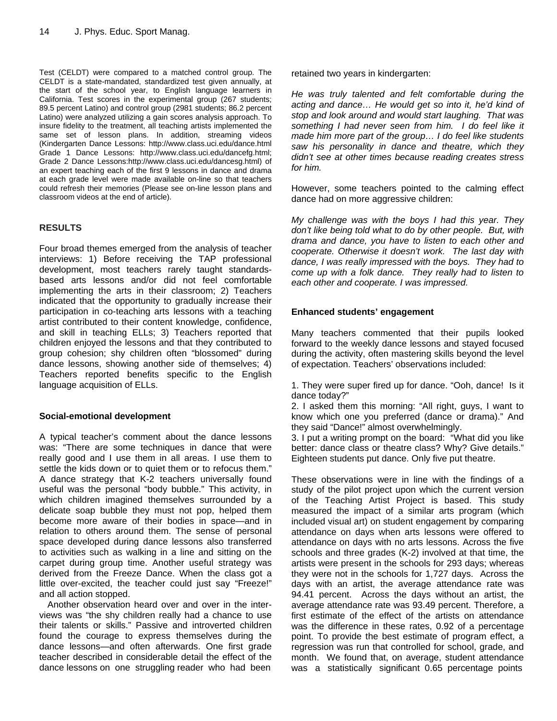Test (CELDT) were compared to a matched control group. The CELDT is a state-mandated, standardized test given annually, at the start of the school year, to English language learners in California. Test scores in the experimental group (267 students; 89.5 percent Latino) and control group (2981 students; 86.2 percent Latino) were analyzed utilizing a gain scores analysis approach. To insure fidelity to the treatment, all teaching artists implemented the same set of lesson plans. In addition, streaming videos (Kindergarten Dance Lessons: http://www.class.uci.edu/dance.html Grade 1 Dance Lessons: http://www.class.uci.edu/dancefg.html; Grade 2 Dance Lessons:http://www.class.uci.edu/dancesg.html) of an expert teaching each of the first 9 lessons in dance and drama at each grade level were made available on-line so that teachers could refresh their memories (Please see on-line lesson plans and classroom videos at the end of article).

#### **RESULTS**

Four broad themes emerged from the analysis of teacher interviews: 1) Before receiving the TAP professional development, most teachers rarely taught standardsbased arts lessons and/or did not feel comfortable implementing the arts in their classroom; 2) Teachers indicated that the opportunity to gradually increase their participation in co-teaching arts lessons with a teaching artist contributed to their content knowledge, confidence, and skill in teaching ELLs; 3) Teachers reported that children enjoyed the lessons and that they contributed to group cohesion; shy children often "blossomed" during dance lessons, showing another side of themselves; 4) Teachers reported benefits specific to the English language acquisition of ELLs.

#### **Social-emotional development**

A typical teacher's comment about the dance lessons was: "There are some techniques in dance that were really good and I use them in all areas. I use them to settle the kids down or to quiet them or to refocus them." A dance strategy that K-2 teachers universally found useful was the personal "body bubble." This activity, in which children imagined themselves surrounded by a delicate soap bubble they must not pop, helped them become more aware of their bodies in space—and in relation to others around them. The sense of personal space developed during dance lessons also transferred to activities such as walking in a line and sitting on the carpet during group time. Another useful strategy was derived from the Freeze Dance. When the class got a little over-excited, the teacher could just say "Freeze!" and all action stopped.

Another observation heard over and over in the interviews was "the shy children really had a chance to use their talents or skills." Passive and introverted children found the courage to express themselves during the dance lessons—and often afterwards. One first grade teacher described in considerable detail the effect of the dance lessons on one struggling reader who had been retained two years in kindergarten:

*He was truly talented and felt comfortable during the acting and dance… He would get so into it, he'd kind of stop and look around and would start laughing. That was something I had never seen from him. I do feel like it made him more part of the group… I do feel like students saw his personality in dance and theatre, which they didn't see at other times because reading creates stress for him.* 

However, some teachers pointed to the calming effect dance had on more aggressive children:

*My challenge was with the boys I had this year. They don't like being told what to do by other people. But, with drama and dance, you have to listen to each other and cooperate. Otherwise it doesn't work. The last day with dance, I was really impressed with the boys. They had to come up with a folk dance. They really had to listen to each other and cooperate. I was impressed.* 

#### **Enhanced students' engagement**

Many teachers commented that their pupils looked forward to the weekly dance lessons and stayed focused during the activity, often mastering skills beyond the level of expectation. Teachers' observations included:

1. They were super fired up for dance. "Ooh, dance! Is it dance today?"

2. I asked them this morning: "All right, guys, I want to know which one you preferred (dance or drama)." And they said "Dance!" almost overwhelmingly.

3. I put a writing prompt on the board: "What did you like better: dance class or theatre class? Why? Give details." Eighteen students put dance. Only five put theatre.

These observations were in line with the findings of a study of the pilot project upon which the current version of the Teaching Artist Project is based. This study measured the impact of a similar arts program (which included visual art) on student engagement by comparing attendance on days when arts lessons were offered to attendance on days with no arts lessons. Across the five schools and three grades (K-2) involved at that time, the artists were present in the schools for 293 days; whereas they were not in the schools for 1,727 days. Across the days with an artist, the average attendance rate was 94.41 percent. Across the days without an artist, the average attendance rate was 93.49 percent. Therefore, a first estimate of the effect of the artists on attendance was the difference in these rates, 0.92 of a percentage point. To provide the best estimate of program effect, a regression was run that controlled for school, grade, and month. We found that, on average, student attendance was a statistically significant 0.65 percentage points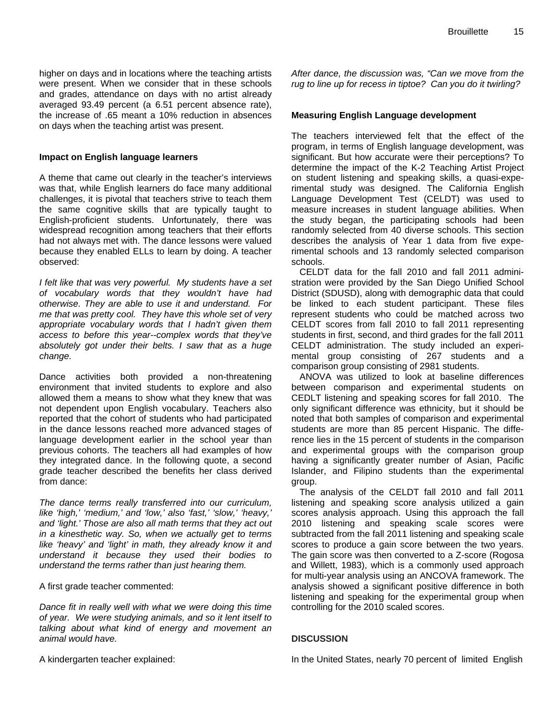#### **Impact on English language learners**

on days when the teaching artist was present.

A theme that came out clearly in the teacher's interviews was that, while English learners do face many additional challenges, it is pivotal that teachers strive to teach them the same cognitive skills that are typically taught to English-proficient students. Unfortunately, there was widespread recognition among teachers that their efforts had not always met with. The dance lessons were valued because they enabled ELLs to learn by doing. A teacher observed:

*I felt like that was very powerful. My students have a set of vocabulary words that they wouldn't have had otherwise. They are able to use it and understand. For me that was pretty cool. They have this whole set of very appropriate vocabulary words that I hadn't given them access to before this year--complex words that they've absolutely got under their belts. I saw that as a huge change.* 

Dance activities both provided a non-threatening environment that invited students to explore and also allowed them a means to show what they knew that was not dependent upon English vocabulary. Teachers also reported that the cohort of students who had participated in the dance lessons reached more advanced stages of language development earlier in the school year than previous cohorts. The teachers all had examples of how they integrated dance. In the following quote, a second grade teacher described the benefits her class derived from dance:

*The dance terms really transferred into our curriculum, like 'high,' 'medium,' and 'low,' also 'fast,' 'slow,' 'heavy,' and 'light.' Those are also all math terms that they act out in a kinesthetic way. So, when we actually get to terms like 'heavy' and 'light' in math, they already know it and understand it because they used their bodies to understand the terms rather than just hearing them.* 

A first grade teacher commented:

*Dance fit in really well with what we were doing this time of year. We were studying animals, and so it lent itself to talking about what kind of energy and movement an animal would have.* 

A kindergarten teacher explained:

*After dance, the discussion was, "Can we move from the rug to line up for recess in tiptoe? Can you do it twirling?* 

#### **Measuring English Language development**

The teachers interviewed felt that the effect of the program, in terms of English language development, was significant. But how accurate were their perceptions? To determine the impact of the K-2 Teaching Artist Project on student listening and speaking skills, a quasi-experimental study was designed. The California English Language Development Test (CELDT) was used to measure increases in student language abilities. When the study began, the participating schools had been randomly selected from 40 diverse schools. This section describes the analysis of Year 1 data from five experimental schools and 13 randomly selected comparison schools.

CELDT data for the fall 2010 and fall 2011 administration were provided by the San Diego Unified School District (SDUSD), along with demographic data that could be linked to each student participant. These files represent students who could be matched across two CELDT scores from fall 2010 to fall 2011 representing students in first, second, and third grades for the fall 2011 CELDT administration. The study included an experimental group consisting of 267 students and a comparison group consisting of 2981 students.

ANOVA was utilized to look at baseline differences between comparison and experimental students on CEDLT listening and speaking scores for fall 2010. The only significant difference was ethnicity, but it should be noted that both samples of comparison and experimental students are more than 85 percent Hispanic. The difference lies in the 15 percent of students in the comparison and experimental groups with the comparison group having a significantly greater number of Asian, Pacific Islander, and Filipino students than the experimental group.

 The analysis of the CELDT fall 2010 and fall 2011 listening and speaking score analysis utilized a gain scores analysis approach. Using this approach the fall 2010 listening and speaking scale scores were subtracted from the fall 2011 listening and speaking scale scores to produce a gain score between the two years. The gain score was then converted to a Z-score (Rogosa and Willett, 1983), which is a commonly used approach for multi-year analysis using an ANCOVA framework. The analysis showed a significant positive difference in both listening and speaking for the experimental group when controlling for the 2010 scaled scores.

#### **DISCUSSION**

In the United States, nearly 70 percent of limited English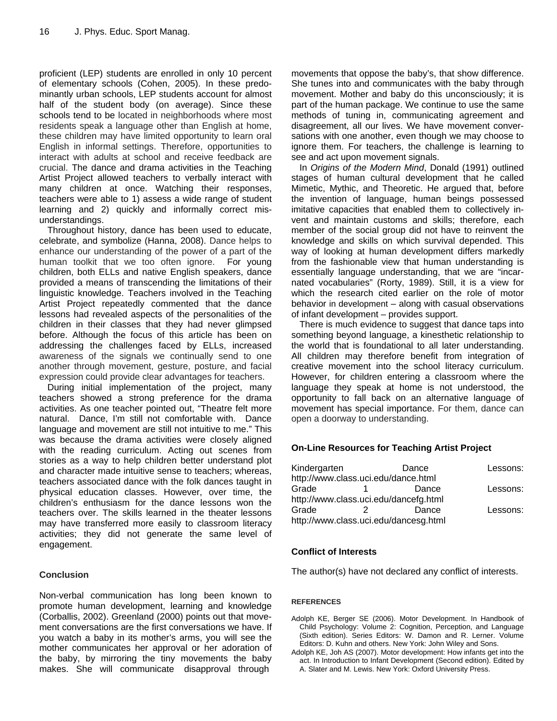proficient (LEP) students are enrolled in only 10 percent of elementary schools (Cohen, 2005). In these predominantly urban schools, LEP students account for almost half of the student body (on average). Since these schools tend to be located in neighborhoods where most residents speak a language other than English at home, these children may have limited opportunity to learn oral English in informal settings. Therefore, opportunities to interact with adults at school and receive feedback are crucial. The dance and drama activities in the Teaching Artist Project allowed teachers to verbally interact with many children at once. Watching their responses, teachers were able to 1) assess a wide range of student learning and 2) quickly and informally correct misunderstandings.

Throughout history, dance has been used to educate, celebrate, and symbolize (Hanna, 2008). Dance helps to enhance our understanding of the power of a part of the human toolkit that we too often ignore. For young children, both ELLs and native English speakers, dance provided a means of transcending the limitations of their linguistic knowledge. Teachers involved in the Teaching Artist Project repeatedly commented that the dance lessons had revealed aspects of the personalities of the children in their classes that they had never glimpsed before. Although the focus of this article has been on addressing the challenges faced by ELLs, increased awareness of the signals we continually send to one another through movement, gesture, posture, and facial expression could provide clear advantages for teachers.

During initial implementation of the project, many teachers showed a strong preference for the drama activities. As one teacher pointed out, "Theatre felt more natural. Dance, I'm still not comfortable with. Dance language and movement are still not intuitive to me." This was because the drama activities were closely aligned with the reading curriculum. Acting out scenes from stories as a way to help children better understand plot and character made intuitive sense to teachers; whereas, teachers associated dance with the folk dances taught in physical education classes. However, over time, the children's enthusiasm for the dance lessons won the teachers over. The skills learned in the theater lessons may have transferred more easily to classroom literacy activities; they did not generate the same level of engagement.

#### **Conclusion**

Non-verbal communication has long been known to promote human development, learning and knowledge (Corballis, 2002). Greenland (2000) points out that movement conversations are the first conversations we have. If you watch a baby in its mother's arms, you will see the mother communicates her approval or her adoration of the baby, by mirroring the tiny movements the baby makes. She will communicate disapproval through

movements that oppose the baby's, that show difference. She tunes into and communicates with the baby through movement. Mother and baby do this unconsciously; it is part of the human package. We continue to use the same methods of tuning in, communicating agreement and disagreement, all our lives. We have movement conversations with one another, even though we may choose to ignore them. For teachers, the challenge is learning to see and act upon movement signals.

In *Origins of the Modern Mind*, Donald (1991) outlined stages of human cultural development that he called Mimetic, Mythic, and Theoretic. He argued that, before the invention of language, human beings possessed imitative capacities that enabled them to collectively invent and maintain customs and skills; therefore, each member of the social group did not have to reinvent the knowledge and skills on which survival depended. This way of looking at human development differs markedly from the fashionable view that human understanding is essentially language understanding, that we are "incarnated vocabularies" (Rorty, 1989). Still, it is a view for which the research cited earlier on the role of motor behavior in development – along with casual observations of infant development – provides support.

There is much evidence to suggest that dance taps into something beyond language, a kinesthetic relationship to the world that is foundational to all later understanding. All children may therefore benefit from integration of creative movement into the school literacy curriculum. However, for children entering a classroom where the language they speak at home is not understood, the opportunity to fall back on an alternative language of movement has special importance. For them, dance can open a doorway to understanding.

#### **On-Line Resources for Teaching Artist Project**

| Kindergarten                          |  | Dance | Lessons: |
|---------------------------------------|--|-------|----------|
| http://www.class.uci.edu/dance.html   |  |       |          |
| Grade                                 |  | Dance | Lessons: |
| http://www.class.uci.edu/dancefg.html |  |       |          |
| Grade                                 |  | Dance | Lessons: |
| http://www.class.uci.edu/dancesg.html |  |       |          |

#### **Conflict of Interests**

The author(s) have not declared any conflict of interests.

#### **REFERENCES**

- Adolph KE, Berger SE (2006). Motor Development. In Handbook of Child Psychology: Volume 2: Cognition, Perception, and Language (Sixth edition). Series Editors: W. Damon and R. Lerner. Volume Editors: D. Kuhn and others. New York: John Wiley and Sons.
- Adolph KE, Joh AS (2007). Motor development: How infants get into the act. In Introduction to Infant Development (Second edition). Edited by A. Slater and M. Lewis. New York: Oxford University Press.